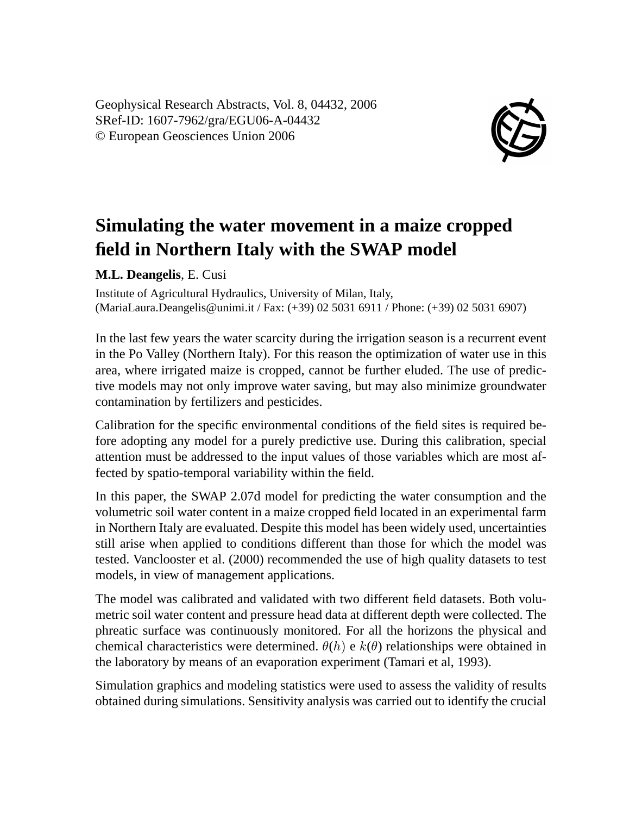Geophysical Research Abstracts, Vol. 8, 04432, 2006 SRef-ID: 1607-7962/gra/EGU06-A-04432 © European Geosciences Union 2006



## **Simulating the water movement in a maize cropped field in Northern Italy with the SWAP model**

**M.L. Deangelis**, E. Cusi

Institute of Agricultural Hydraulics, University of Milan, Italy, (MariaLaura.Deangelis@unimi.it / Fax: (+39) 02 5031 6911 / Phone: (+39) 02 5031 6907)

In the last few years the water scarcity during the irrigation season is a recurrent event in the Po Valley (Northern Italy). For this reason the optimization of water use in this area, where irrigated maize is cropped, cannot be further eluded. The use of predictive models may not only improve water saving, but may also minimize groundwater contamination by fertilizers and pesticides.

Calibration for the specific environmental conditions of the field sites is required before adopting any model for a purely predictive use. During this calibration, special attention must be addressed to the input values of those variables which are most affected by spatio-temporal variability within the field.

In this paper, the SWAP 2.07d model for predicting the water consumption and the volumetric soil water content in a maize cropped field located in an experimental farm in Northern Italy are evaluated. Despite this model has been widely used, uncertainties still arise when applied to conditions different than those for which the model was tested. Vanclooster et al. (2000) recommended the use of high quality datasets to test models, in view of management applications.

The model was calibrated and validated with two different field datasets. Both volumetric soil water content and pressure head data at different depth were collected. The phreatic surface was continuously monitored. For all the horizons the physical and chemical characteristics were determined.  $\theta(h)$  e  $k(\theta)$  relationships were obtained in the laboratory by means of an evaporation experiment (Tamari et al, 1993).

Simulation graphics and modeling statistics were used to assess the validity of results obtained during simulations. Sensitivity analysis was carried out to identify the crucial